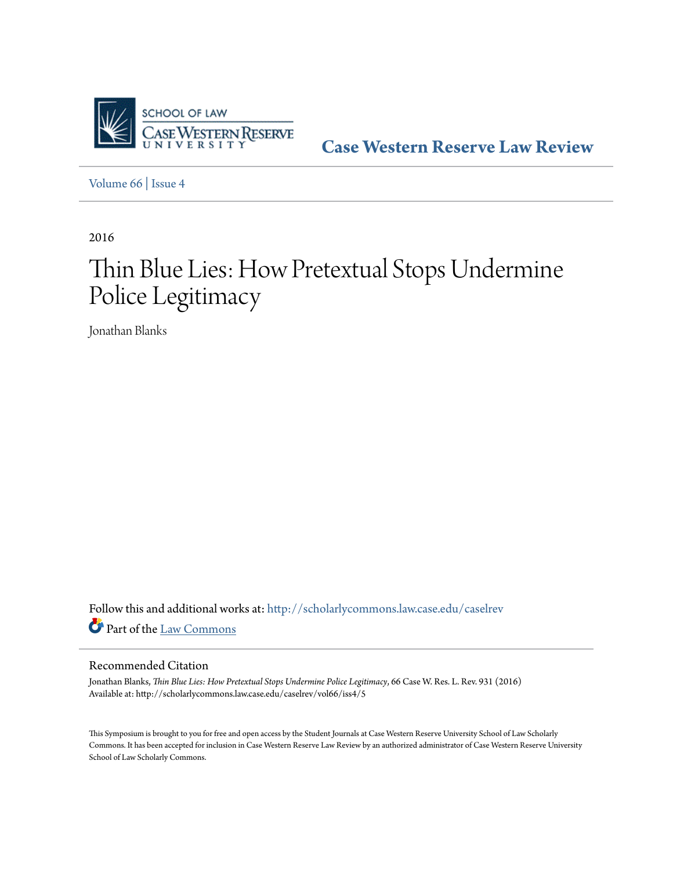

**[Case Western Reserve Law Review](http://scholarlycommons.law.case.edu/caselrev?utm_source=scholarlycommons.law.case.edu%2Fcaselrev%2Fvol66%2Fiss4%2F5&utm_medium=PDF&utm_campaign=PDFCoverPages)**

[Volume 66](http://scholarlycommons.law.case.edu/caselrev/vol66?utm_source=scholarlycommons.law.case.edu%2Fcaselrev%2Fvol66%2Fiss4%2F5&utm_medium=PDF&utm_campaign=PDFCoverPages) | [Issue 4](http://scholarlycommons.law.case.edu/caselrev/vol66/iss4?utm_source=scholarlycommons.law.case.edu%2Fcaselrev%2Fvol66%2Fiss4%2F5&utm_medium=PDF&utm_campaign=PDFCoverPages)

2016

# Thin Blue Lies: How Pretextual Stops Undermine Police Legitimacy

Jonathan Blanks

Follow this and additional works at: [http://scholarlycommons.law.case.edu/caselrev](http://scholarlycommons.law.case.edu/caselrev?utm_source=scholarlycommons.law.case.edu%2Fcaselrev%2Fvol66%2Fiss4%2F5&utm_medium=PDF&utm_campaign=PDFCoverPages) Part of the [Law Commons](http://network.bepress.com/hgg/discipline/578?utm_source=scholarlycommons.law.case.edu%2Fcaselrev%2Fvol66%2Fiss4%2F5&utm_medium=PDF&utm_campaign=PDFCoverPages)

# Recommended Citation

Jonathan Blanks, *Thin Blue Lies: How Pretextual Stops Undermine Police Legitimacy*, 66 Case W. Res. L. Rev. 931 (2016) Available at: http://scholarlycommons.law.case.edu/caselrev/vol66/iss4/5

This Symposium is brought to you for free and open access by the Student Journals at Case Western Reserve University School of Law Scholarly Commons. It has been accepted for inclusion in Case Western Reserve Law Review by an authorized administrator of Case Western Reserve University School of Law Scholarly Commons.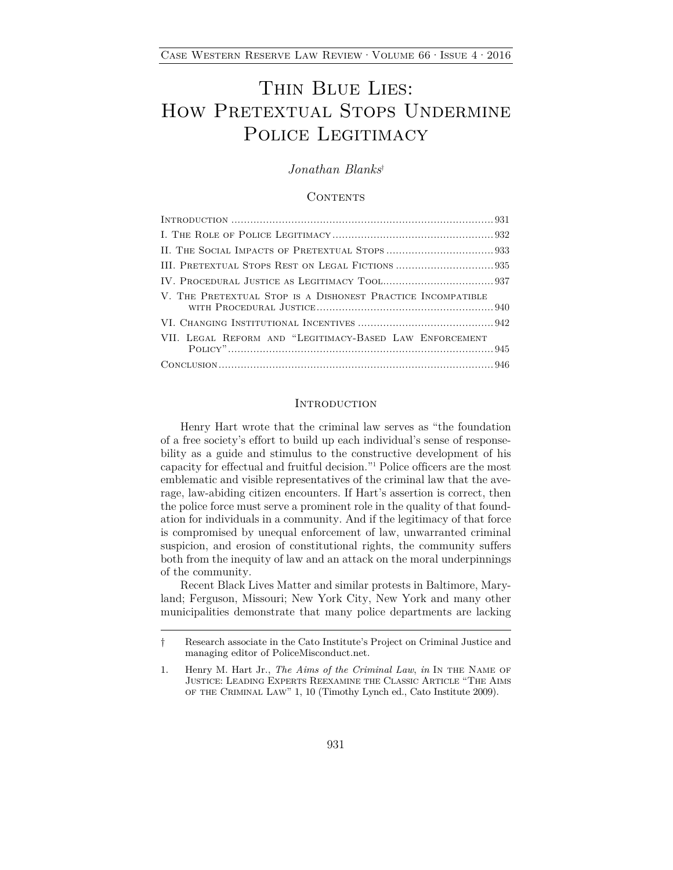# THIN BLUE LIES: HOW PRETEXTUAL STOPS UNDERMINE POLICE LEGITIMACY

# *Jonathan Blanks*†

#### **CONTENTS**

| V. THE PRETEXTUAL STOP IS A DISHONEST PRACTICE INCOMPATIBLE |
|-------------------------------------------------------------|
|                                                             |
| VII. LEGAL REFORM AND "LEGITIMACY-BASED LAW ENFORCEMENT     |
|                                                             |

#### **INTRODUCTION**

Henry Hart wrote that the criminal law serves as "the foundation of a free society's effort to build up each individual's sense of responsebility as a guide and stimulus to the constructive development of his capacity for effectual and fruitful decision."1 Police officers are the most emblematic and visible representatives of the criminal law that the average, law-abiding citizen encounters. If Hart's assertion is correct, then the police force must serve a prominent role in the quality of that foundation for individuals in a community. And if the legitimacy of that force is compromised by unequal enforcement of law, unwarranted criminal suspicion, and erosion of constitutional rights, the community suffers both from the inequity of law and an attack on the moral underpinnings of the community.

Recent Black Lives Matter and similar protests in Baltimore, Maryland; Ferguson, Missouri; New York City, New York and many other municipalities demonstrate that many police departments are lacking

<sup>†</sup> Research associate in the Cato Institute's Project on Criminal Justice and managing editor of PoliceMisconduct.net.

<sup>1.</sup> Henry M. Hart Jr., *The Aims of the Criminal Law*, *in* In the Name of Justice: Leading Experts Reexamine the Classic Article "The Aims of the Criminal Law" 1, 10 (Timothy Lynch ed., Cato Institute 2009).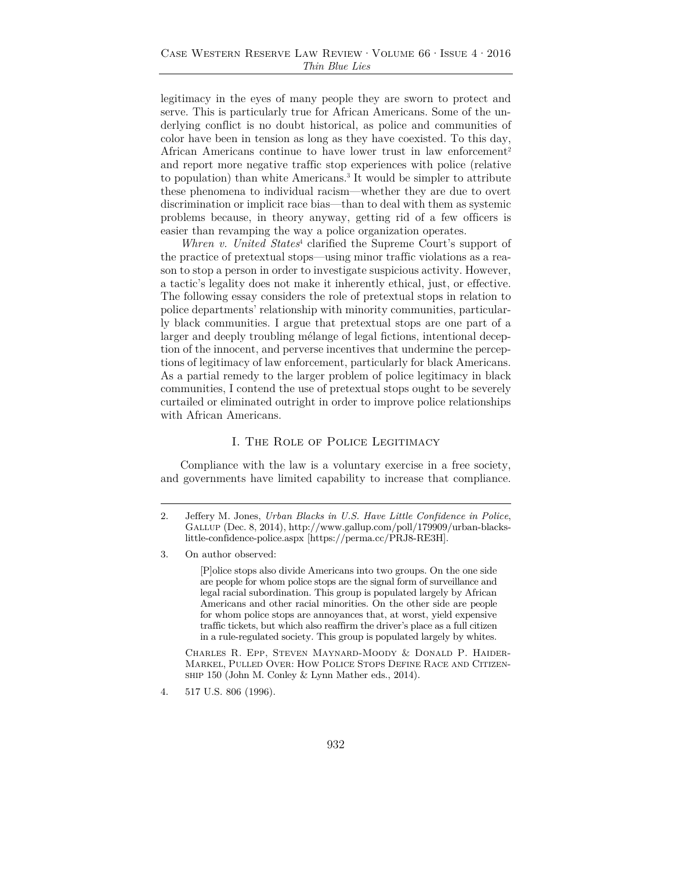legitimacy in the eyes of many people they are sworn to protect and serve. This is particularly true for African Americans. Some of the underlying conflict is no doubt historical, as police and communities of color have been in tension as long as they have coexisted. To this day, African Americans continue to have lower trust in law enforcement<sup>2</sup> and report more negative traffic stop experiences with police (relative to population) than white Americans.3 It would be simpler to attribute these phenomena to individual racism—whether they are due to overt discrimination or implicit race bias—than to deal with them as systemic problems because, in theory anyway, getting rid of a few officers is easier than revamping the way a police organization operates.

*Whren v. United States*<sup>4</sup> clarified the Supreme Court's support of the practice of pretextual stops—using minor traffic violations as a reason to stop a person in order to investigate suspicious activity. However, a tactic's legality does not make it inherently ethical, just, or effective. The following essay considers the role of pretextual stops in relation to police departments' relationship with minority communities, particularly black communities. I argue that pretextual stops are one part of a larger and deeply troubling mélange of legal fictions, intentional deception of the innocent, and perverse incentives that undermine the perceptions of legitimacy of law enforcement, particularly for black Americans. As a partial remedy to the larger problem of police legitimacy in black communities, I contend the use of pretextual stops ought to be severely curtailed or eliminated outright in order to improve police relationships with African Americans.

#### I. The Role of Police Legitimacy

Compliance with the law is a voluntary exercise in a free society, and governments have limited capability to increase that compliance.

[P]olice stops also divide Americans into two groups. On the one side are people for whom police stops are the signal form of surveillance and legal racial subordination. This group is populated largely by African Americans and other racial minorities. On the other side are people for whom police stops are annoyances that, at worst, yield expensive traffic tickets, but which also reaffirm the driver's place as a full citizen in a rule-regulated society. This group is populated largely by whites.

Charles R. Epp, Steven Maynard-Moody & Donald P. Haider-Markel, Pulled Over: How Police Stops Define Race and Citizenship 150 (John M. Conley & Lynn Mather eds., 2014).

<sup>2.</sup> Jeffery M. Jones, *Urban Blacks in U.S. Have Little Confidence in Police*, Gallup (Dec. 8, 2014), http://www.gallup.com/poll/179909/urban-blackslittle-confidence-police.aspx [https://perma.cc/PRJ8-RE3H].

<sup>3.</sup> On author observed:

<sup>4. 517</sup> U.S. 806 (1996).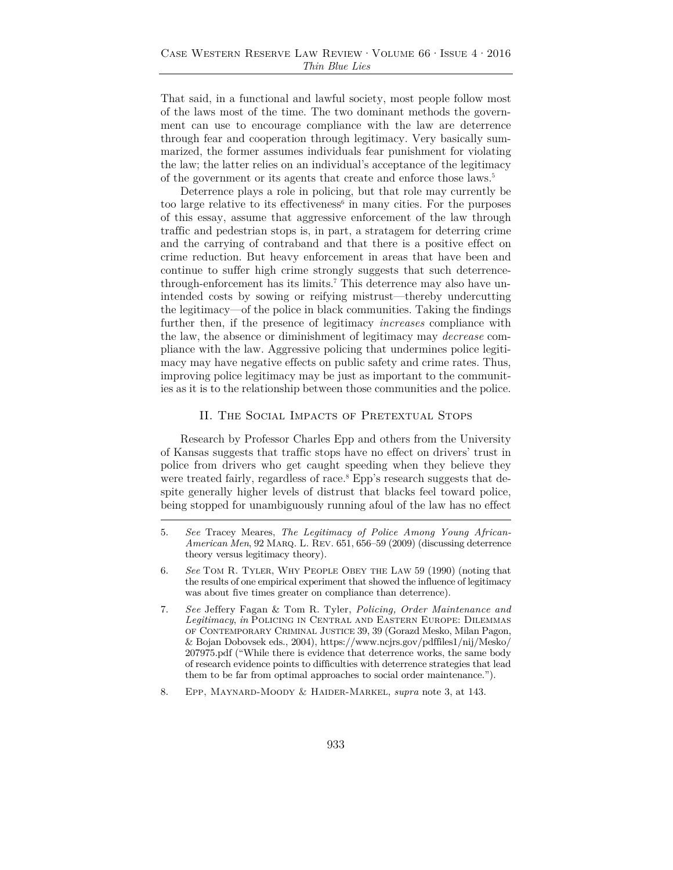That said, in a functional and lawful society, most people follow most of the laws most of the time. The two dominant methods the government can use to encourage compliance with the law are deterrence through fear and cooperation through legitimacy. Very basically summarized, the former assumes individuals fear punishment for violating the law; the latter relies on an individual's acceptance of the legitimacy of the government or its agents that create and enforce those laws.<sup>5</sup>

Deterrence plays a role in policing, but that role may currently be too large relative to its effectiveness<sup> $6$ </sup> in many cities. For the purposes of this essay, assume that aggressive enforcement of the law through traffic and pedestrian stops is, in part, a stratagem for deterring crime and the carrying of contraband and that there is a positive effect on crime reduction. But heavy enforcement in areas that have been and continue to suffer high crime strongly suggests that such deterrencethrough-enforcement has its limits.7 This deterrence may also have unintended costs by sowing or reifying mistrust—thereby undercutting the legitimacy—of the police in black communities. Taking the findings further then, if the presence of legitimacy *increases* compliance with the law, the absence or diminishment of legitimacy may *decrease* compliance with the law. Aggressive policing that undermines police legitimacy may have negative effects on public safety and crime rates. Thus, improving police legitimacy may be just as important to the communities as it is to the relationship between those communities and the police.

#### II. The Social Impacts of Pretextual Stops

Research by Professor Charles Epp and others from the University of Kansas suggests that traffic stops have no effect on drivers' trust in police from drivers who get caught speeding when they believe they were treated fairly, regardless of race.<sup>8</sup> Epp's research suggests that despite generally higher levels of distrust that blacks feel toward police, being stopped for unambiguously running afoul of the law has no effect

<sup>5.</sup> *See* Tracey Meares, *The Legitimacy of Police Among Young African-American Men*, 92 Marq. L. Rev. 651, 656–59 (2009) (discussing deterrence theory versus legitimacy theory).

<sup>6.</sup> *See* Tom R. Tyler, Why People Obey the Law 59 (1990) (noting that the results of one empirical experiment that showed the influence of legitimacy was about five times greater on compliance than deterrence).

<sup>7.</sup> *See* Jeffery Fagan & Tom R. Tyler, *Policing, Order Maintenance and Legitimacy*, *in* Policing in Central and Eastern Europe: Dilemmas of Contemporary Criminal Justice 39, 39 (Gorazd Mesko, Milan Pagon, & Bojan Dobovsek eds., 2004), https://www.ncjrs.gov/pdffiles1/nij/Mesko/ 207975.pdf ("While there is evidence that deterrence works, the same body of research evidence points to difficulties with deterrence strategies that lead them to be far from optimal approaches to social order maintenance.").

<sup>8.</sup> Epp, Maynard-Moody & Haider-Markel, *supra* note 3, at 143.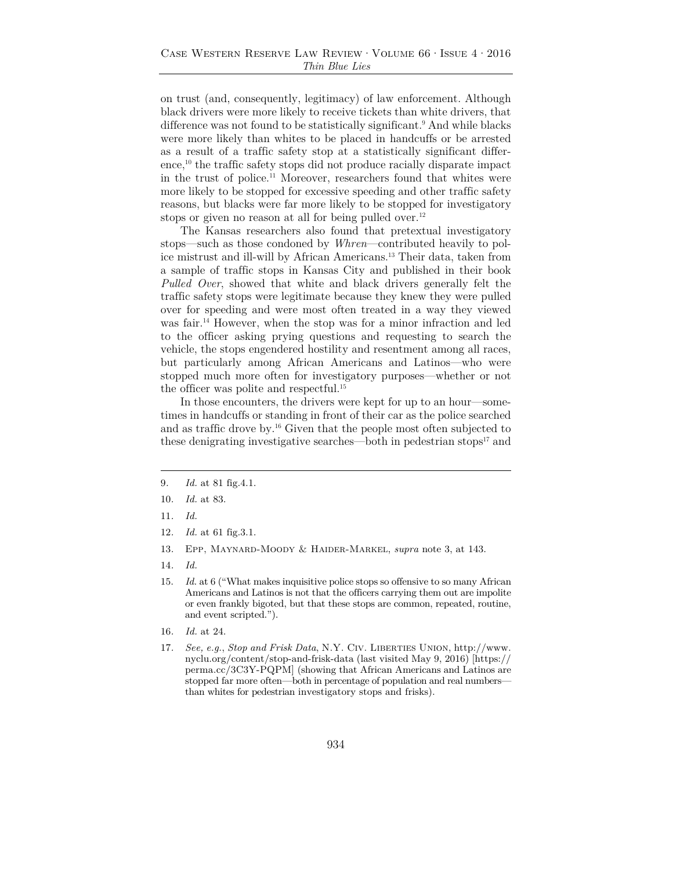on trust (and, consequently, legitimacy) of law enforcement. Although black drivers were more likely to receive tickets than white drivers, that difference was not found to be statistically significant.<sup>9</sup> And while blacks were more likely than whites to be placed in handcuffs or be arrested as a result of a traffic safety stop at a statistically significant difference,<sup>10</sup> the traffic safety stops did not produce racially disparate impact in the trust of police.11 Moreover, researchers found that whites were more likely to be stopped for excessive speeding and other traffic safety reasons, but blacks were far more likely to be stopped for investigatory stops or given no reason at all for being pulled over.<sup>12</sup>

The Kansas researchers also found that pretextual investigatory stops—such as those condoned by *Whren*—contributed heavily to police mistrust and ill-will by African Americans.13 Their data, taken from a sample of traffic stops in Kansas City and published in their book *Pulled Over*, showed that white and black drivers generally felt the traffic safety stops were legitimate because they knew they were pulled over for speeding and were most often treated in a way they viewed was fair.<sup>14</sup> However, when the stop was for a minor infraction and led to the officer asking prying questions and requesting to search the vehicle, the stops engendered hostility and resentment among all races, but particularly among African Americans and Latinos—who were stopped much more often for investigatory purposes—whether or not the officer was polite and respectful.<sup>15</sup>

In those encounters, the drivers were kept for up to an hour—sometimes in handcuffs or standing in front of their car as the police searched and as traffic drove by.16 Given that the people most often subjected to these denigrating investigative searches—both in pedestrian stops $17$  and

- 10*. Id.* at 83.
- 11*. Id.*
- 12*. Id.* at 61 fig.3.1.
- 13*.* Epp, Maynard-Moody & Haider-Markel, *supra* note 3, at 143.
- 14*. Id.*
- 15. *Id.* at 6 ("What makes inquisitive police stops so offensive to so many African Americans and Latinos is not that the officers carrying them out are impolite or even frankly bigoted, but that these stops are common, repeated, routine, and event scripted.").
- 16*. Id.* at 24.
- 17*. See, e.g.*, *Stop and Frisk Data*, N.Y. Civ. Liberties Union, http://www. nyclu.org/content/stop-and-frisk-data (last visited May 9, 2016) [https:// perma.cc/3C3Y-PQPM] (showing that African Americans and Latinos are stopped far more often—both in percentage of population and real numbers than whites for pedestrian investigatory stops and frisks).

<sup>9</sup>*. Id.* at 81 fig.4.1.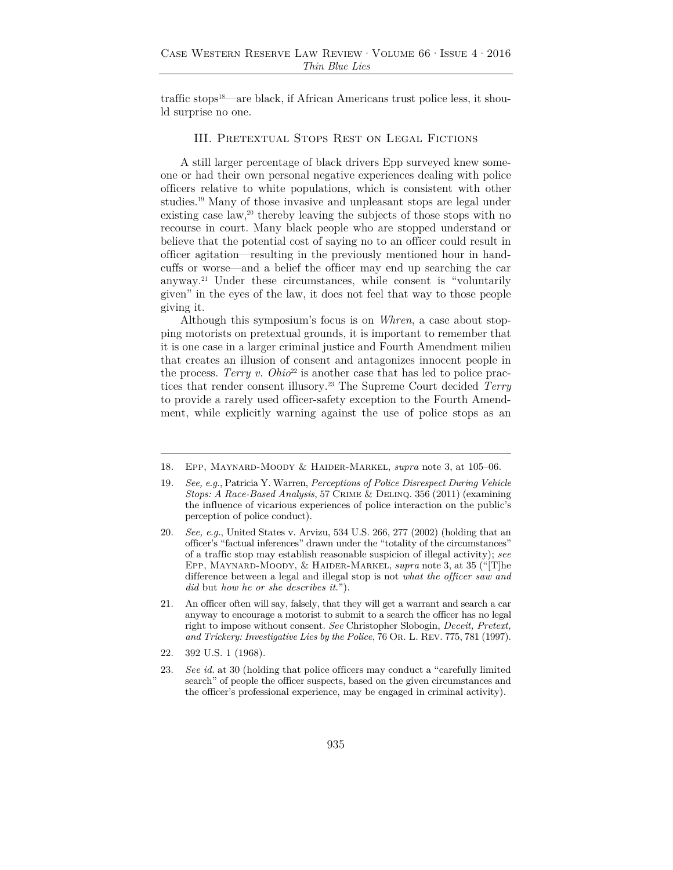traffic stops<sup>18</sup>—are black, if African Americans trust police less, it should surprise no one.

#### III. Pretextual Stops Rest on Legal Fictions

A still larger percentage of black drivers Epp surveyed knew someone or had their own personal negative experiences dealing with police officers relative to white populations, which is consistent with other studies.19 Many of those invasive and unpleasant stops are legal under existing case law,<sup>20</sup> thereby leaving the subjects of those stops with no recourse in court. Many black people who are stopped understand or believe that the potential cost of saying no to an officer could result in officer agitation—resulting in the previously mentioned hour in handcuffs or worse—and a belief the officer may end up searching the car anyway.21 Under these circumstances, while consent is "voluntarily given" in the eyes of the law, it does not feel that way to those people giving it.

Although this symposium's focus is on *Whren*, a case about stopping motorists on pretextual grounds, it is important to remember that it is one case in a larger criminal justice and Fourth Amendment milieu that creates an illusion of consent and antagonizes innocent people in the process. *Terry v. Ohio*<sup>22</sup> is another case that has led to police practices that render consent illusory.23 The Supreme Court decided *Terry*  to provide a rarely used officer-safety exception to the Fourth Amendment, while explicitly warning against the use of police stops as an

<sup>18</sup>*.* Epp, Maynard-Moody & Haider-Markel, *supra* note 3, at 105–06.

<sup>19</sup>*. See, e.g.*, Patricia Y. Warren, *Perceptions of Police Disrespect During Vehicle Stops: A Race-Based Analysis*, 57 Crime & Delinq. 356 (2011) (examining the influence of vicarious experiences of police interaction on the public's perception of police conduct).

<sup>20.</sup> *See, e.g.*, United States v. Arvizu, 534 U.S. 266, 277 (2002) (holding that an officer's "factual inferences" drawn under the "totality of the circumstances" of a traffic stop may establish reasonable suspicion of illegal activity); *see*  Epp, Maynard-Moody, & Haider-Markel, *supra* note 3, at 35 ("[T]he difference between a legal and illegal stop is not *what the officer saw and did* but *how he or she describes it*.").

<sup>21.</sup> An officer often will say, falsely, that they will get a warrant and search a car anyway to encourage a motorist to submit to a search the officer has no legal right to impose without consent. *See* Christopher Slobogin, *Deceit, Pretext, and Trickery: Investigative Lies by the Police*, 76 Or. L. Rev. 775, 781 (1997).

<sup>22. 392</sup> U.S. 1 (1968).

<sup>23.</sup> *See id.* at 30 (holding that police officers may conduct a "carefully limited search" of people the officer suspects, based on the given circumstances and the officer's professional experience, may be engaged in criminal activity).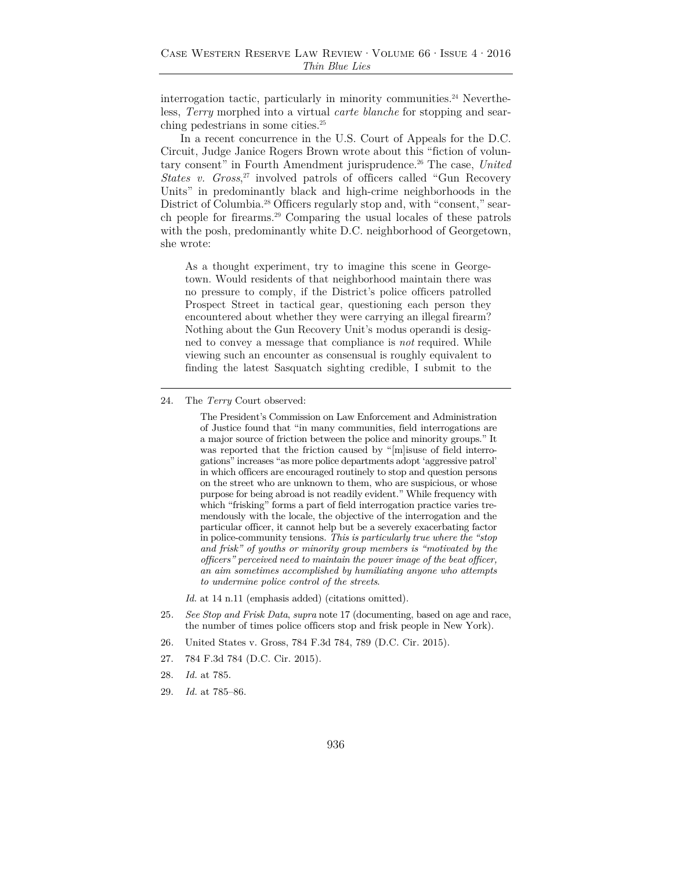interrogation tactic, particularly in minority communities.<sup>24</sup> Nevertheless, *Terry* morphed into a virtual *carte blanche* for stopping and searching pedestrians in some cities.25

In a recent concurrence in the U.S. Court of Appeals for the D.C. Circuit, Judge Janice Rogers Brown wrote about this "fiction of voluntary consent" in Fourth Amendment jurisprudence.<sup>26</sup> The case, *United States v. Gross*, 27 involved patrols of officers called "Gun Recovery Units" in predominantly black and high-crime neighborhoods in the District of Columbia.<sup>28</sup> Officers regularly stop and, with "consent," search people for firearms.29 Comparing the usual locales of these patrols with the posh, predominantly white D.C. neighborhood of Georgetown, she wrote:

As a thought experiment, try to imagine this scene in Georgetown. Would residents of that neighborhood maintain there was no pressure to comply, if the District's police officers patrolled Prospect Street in tactical gear, questioning each person they encountered about whether they were carrying an illegal firearm? Nothing about the Gun Recovery Unit's modus operandi is designed to convey a message that compliance is *not* required. While viewing such an encounter as consensual is roughly equivalent to finding the latest Sasquatch sighting credible, I submit to the

The President's Commission on Law Enforcement and Administration of Justice found that "in many communities, field interrogations are a major source of friction between the police and minority groups." It was reported that the friction caused by "[m]isuse of field interrogations" increases "as more police departments adopt 'aggressive patrol' in which officers are encouraged routinely to stop and question persons on the street who are unknown to them, who are suspicious, or whose purpose for being abroad is not readily evident." While frequency with which "frisking" forms a part of field interrogation practice varies tremendously with the locale, the objective of the interrogation and the particular officer, it cannot help but be a severely exacerbating factor in police-community tensions. *This is particularly true where the "stop and frisk" of youths or minority group members is "motivated by the officers" perceived need to maintain the power image of the beat officer, an aim sometimes accomplished by humiliating anyone who attempts to undermine police control of the streets*.

*Id.* at 14 n.11 (emphasis added) (citations omitted).

- 25*. See Stop and Frisk Data*, *supra* note 17 (documenting, based on age and race, the number of times police officers stop and frisk people in New York).
- 26*.* United States v. Gross, 784 F.3d 784, 789 (D.C. Cir. 2015).
- 27. 784 F.3d 784 (D.C. Cir. 2015).
- 28. *Id.* at 785.
- 29. *Id.* at 785–86.

<sup>24.</sup> The *Terry* Court observed: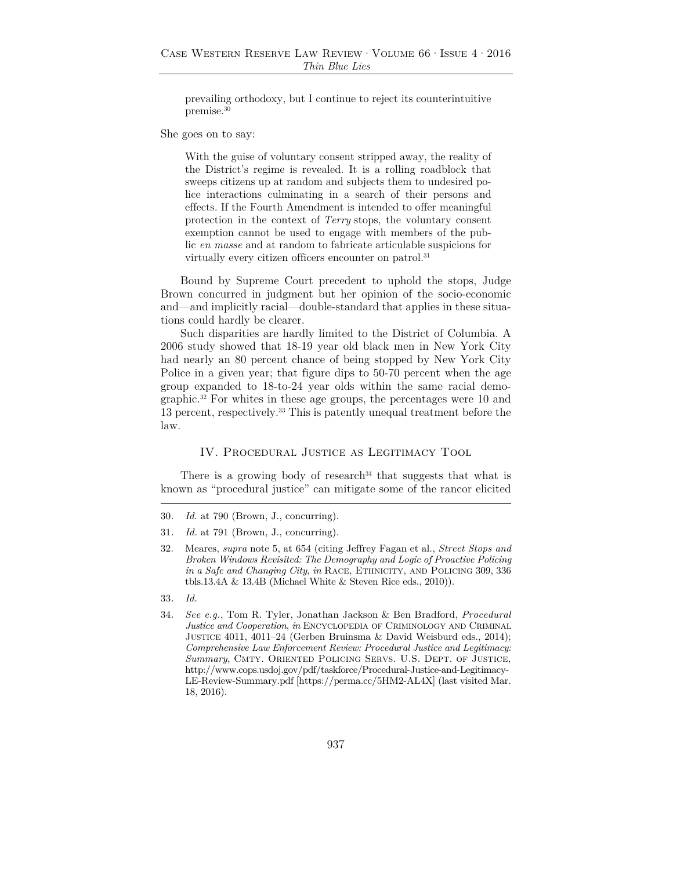prevailing orthodoxy, but I continue to reject its counterintuitive premise.30

She goes on to say:

With the guise of voluntary consent stripped away, the reality of the District's regime is revealed. It is a rolling roadblock that sweeps citizens up at random and subjects them to undesired police interactions culminating in a search of their persons and effects. If the Fourth Amendment is intended to offer meaningful protection in the context of *Terry* stops, the voluntary consent exemption cannot be used to engage with members of the public *en masse* and at random to fabricate articulable suspicions for virtually every citizen officers encounter on patrol.<sup>31</sup>

Bound by Supreme Court precedent to uphold the stops, Judge Brown concurred in judgment but her opinion of the socio-economic and—and implicitly racial—double-standard that applies in these situations could hardly be clearer.

Such disparities are hardly limited to the District of Columbia. A 2006 study showed that 18-19 year old black men in New York City had nearly an 80 percent chance of being stopped by New York City Police in a given year; that figure dips to 50-70 percent when the age group expanded to 18-to-24 year olds within the same racial demographic.32 For whites in these age groups, the percentages were 10 and 13 percent, respectively.33 This is patently unequal treatment before the law.

#### IV. Procedural Justice as Legitimacy Tool

There is a growing body of research<sup>34</sup> that suggests that what is known as "procedural justice" can mitigate some of the rancor elicited

- 33*. Id.*
- 34*. See e.g.*, Tom R. Tyler, Jonathan Jackson & Ben Bradford, *Procedural Justice and Cooperation*, *in* Encyclopedia of Criminology and Criminal Justice 4011, 4011–24 (Gerben Bruinsma & David Weisburd eds., 2014); *Comprehensive Law Enforcement Review: Procedural Justice and Legitimacy: Summary*, Cmty. Oriented Policing Servs. U.S. Dept. of Justice, http://www.cops.usdoj.gov/pdf/taskforce/Procedural-Justice-and-Legitimacy-LE-Review-Summary.pdf [https://perma.cc/5HM2-AL4X] (last visited Mar. 18, 2016).

<sup>30</sup>*. Id*. at 790 (Brown, J., concurring).

<sup>31</sup>*. Id.* at 791 (Brown, J., concurring).

<sup>32.</sup> Meares, *supra* note 5, at 654 (citing Jeffrey Fagan et al., *Street Stops and Broken Windows Revisited: The Demography and Logic of Proactive Policing in a Safe and Changing City, in* RACE, ETHNICITY, AND POLICING 309, 336 tbls.13.4A & 13.4B (Michael White & Steven Rice eds., 2010)).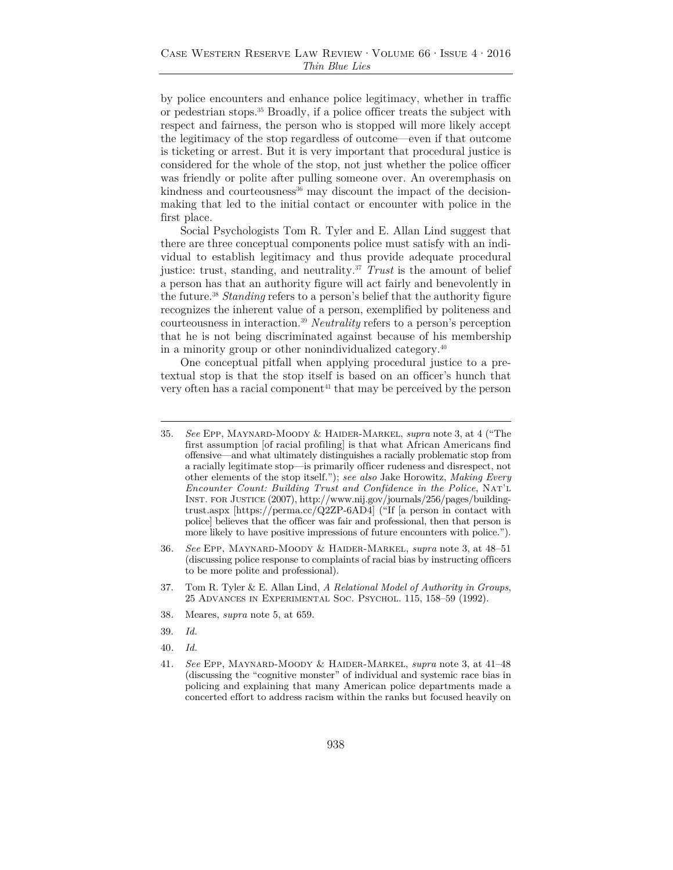by police encounters and enhance police legitimacy, whether in traffic or pedestrian stops.35 Broadly, if a police officer treats the subject with respect and fairness, the person who is stopped will more likely accept the legitimacy of the stop regardless of outcome—even if that outcome is ticketing or arrest. But it is very important that procedural justice is considered for the whole of the stop, not just whether the police officer was friendly or polite after pulling someone over. An overemphasis on  $k$ indness and courteousness $36$  may discount the impact of the decisionmaking that led to the initial contact or encounter with police in the first place.

Social Psychologists Tom R. Tyler and E. Allan Lind suggest that there are three conceptual components police must satisfy with an individual to establish legitimacy and thus provide adequate procedural justice: trust, standing, and neutrality.37 *Trust* is the amount of belief a person has that an authority figure will act fairly and benevolently in the future.38 *Standing* refers to a person's belief that the authority figure recognizes the inherent value of a person, exemplified by politeness and courteousness in interaction.39 *Neutrality* refers to a person's perception that he is not being discriminated against because of his membership in a minority group or other nonindividualized category.40

One conceptual pitfall when applying procedural justice to a pretextual stop is that the stop itself is based on an officer's hunch that very often has a racial component<sup>41</sup> that may be perceived by the person

- 38*.* Meares, *supra* note 5, at 659.
- 39. *Id.*
- 40*. Id.*

<sup>35.</sup> *See* Epp, Maynard-Moody & Haider-Markel, *supra* note 3, at 4 ("The first assumption [of racial profiling] is that what African Americans find offensive—and what ultimately distinguishes a racially problematic stop from a racially legitimate stop—is primarily officer rudeness and disrespect, not other elements of the stop itself."); *see also* Jake Horowitz, *Making Every Encounter Count: Building Trust and Confidence in the Police*, Nat'l Inst. for Justice (2007), http://www.nij.gov/journals/256/pages/buildingtrust.aspx [https://perma.cc/Q2ZP-6AD4] ("If [a person in contact with police] believes that the officer was fair and professional, then that person is more likely to have positive impressions of future encounters with police.").

<sup>36</sup>*. See* Epp, Maynard-Moody & Haider-Markel, *supra* note 3, at 48–51 (discussing police response to complaints of racial bias by instructing officers to be more polite and professional).

<sup>37.</sup> Tom R. Tyler & E. Allan Lind, *A Relational Model of Authority in Groups*, 25 Advances in Experimental Soc. Psychol. 115, 158–59 (1992).

<sup>41</sup>*. See* Epp, Maynard-Moody & Haider-Markel, *supra* note 3, at 41–48 (discussing the "cognitive monster" of individual and systemic race bias in policing and explaining that many American police departments made a concerted effort to address racism within the ranks but focused heavily on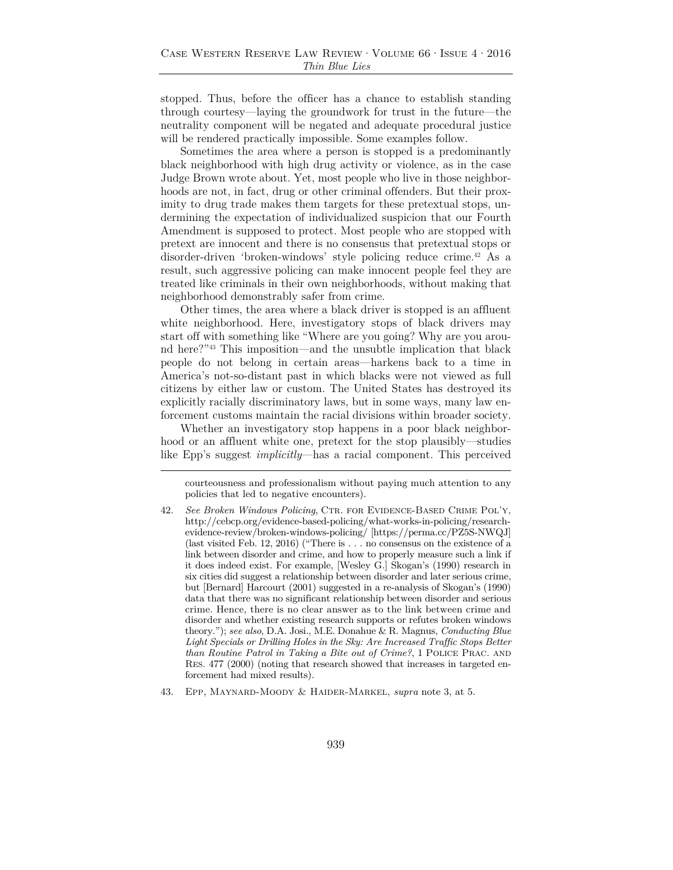stopped. Thus, before the officer has a chance to establish standing through courtesy—laying the groundwork for trust in the future—the neutrality component will be negated and adequate procedural justice will be rendered practically impossible. Some examples follow.

Sometimes the area where a person is stopped is a predominantly black neighborhood with high drug activity or violence, as in the case Judge Brown wrote about. Yet, most people who live in those neighborhoods are not, in fact, drug or other criminal offenders. But their proximity to drug trade makes them targets for these pretextual stops, undermining the expectation of individualized suspicion that our Fourth Amendment is supposed to protect. Most people who are stopped with pretext are innocent and there is no consensus that pretextual stops or disorder-driven 'broken-windows' style policing reduce crime.<sup>42</sup> As a result, such aggressive policing can make innocent people feel they are treated like criminals in their own neighborhoods, without making that neighborhood demonstrably safer from crime.

Other times, the area where a black driver is stopped is an affluent white neighborhood. Here, investigatory stops of black drivers may start off with something like "Where are you going? Why are you around here?"43 This imposition—and the unsubtle implication that black people do not belong in certain areas—harkens back to a time in America's not-so-distant past in which blacks were not viewed as full citizens by either law or custom. The United States has destroyed its explicitly racially discriminatory laws, but in some ways, many law enforcement customs maintain the racial divisions within broader society.

Whether an investigatory stop happens in a poor black neighborhood or an affluent white one, pretext for the stop plausibly—studies like Epp's suggest *implicitly*—has a racial component. This perceived

courteousness and professionalism without paying much attention to any policies that led to negative encounters).

<sup>42.</sup> *See Broken Windows Policing*, Ctr. for Evidence-Based Crime Pol'y, http://cebcp.org/evidence-based-policing/what-works-in-policing/researchevidence-review/broken-windows-policing/ [https://perma.cc/PZ5S-NWQJ] (last visited Feb. 12, 2016) ("There is . . . no consensus on the existence of a link between disorder and crime, and how to properly measure such a link if it does indeed exist. For example, [Wesley G.] Skogan's (1990) research in six cities did suggest a relationship between disorder and later serious crime, but [Bernard] Harcourt (2001) suggested in a re-analysis of Skogan's (1990) data that there was no significant relationship between disorder and serious crime. Hence, there is no clear answer as to the link between crime and disorder and whether existing research supports or refutes broken windows theory."); *see also*, D.A. Josi., M.E. Donahue & R. Magnus, *Conducting Blue*  Light Specials or Drilling Holes in the Sky: Are Increased Traffic Stops Better *than Routine Patrol in Taking a Bite out of Crime?*, 1 POLICE PRAC. AND Res. 477 (2000) (noting that research showed that increases in targeted enforcement had mixed results).

<sup>43.</sup> Epp, Maynard-Moody & Haider-Markel, *supra* note 3, at 5.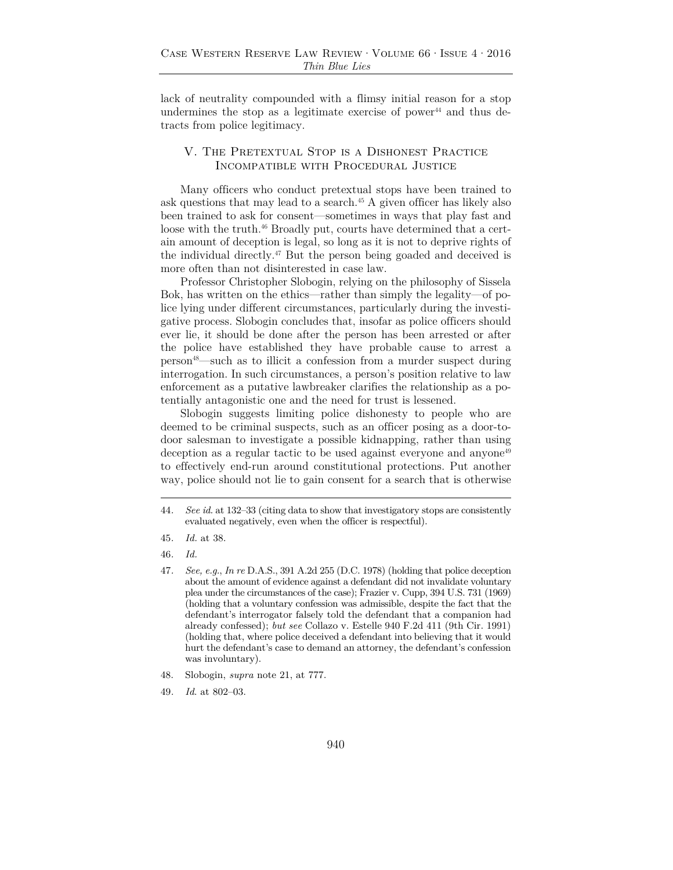lack of neutrality compounded with a flimsy initial reason for a stop undermines the stop as a legitimate exercise of power<sup>44</sup> and thus detracts from police legitimacy.

## V. The Pretextual Stop is a Dishonest Practice Incompatible with Procedural Justice

Many officers who conduct pretextual stops have been trained to ask questions that may lead to a search.45 A given officer has likely also been trained to ask for consent—sometimes in ways that play fast and loose with the truth.<sup>46</sup> Broadly put, courts have determined that a certain amount of deception is legal, so long as it is not to deprive rights of the individual directly.47 But the person being goaded and deceived is more often than not disinterested in case law.

Professor Christopher Slobogin, relying on the philosophy of Sissela Bok, has written on the ethics—rather than simply the legality—of police lying under different circumstances, particularly during the investigative process. Slobogin concludes that, insofar as police officers should ever lie, it should be done after the person has been arrested or after the police have established they have probable cause to arrest a person48—such as to illicit a confession from a murder suspect during interrogation. In such circumstances, a person's position relative to law enforcement as a putative lawbreaker clarifies the relationship as a potentially antagonistic one and the need for trust is lessened.

Slobogin suggests limiting police dishonesty to people who are deemed to be criminal suspects, such as an officer posing as a door-todoor salesman to investigate a possible kidnapping, rather than using deception as a regular tactic to be used against everyone and anyone<sup>49</sup> to effectively end-run around constitutional protections. Put another way, police should not lie to gain consent for a search that is otherwise

<sup>44</sup>*. See id.* at 132–33 (citing data to show that investigatory stops are consistently evaluated negatively, even when the officer is respectful).

<sup>45</sup>*. Id.* at 38.

<sup>46</sup>*. Id.*

<sup>47</sup>*. See, e.g.*, *In re* D.A.S., 391 A.2d 255 (D.C. 1978) (holding that police deception about the amount of evidence against a defendant did not invalidate voluntary plea under the circumstances of the case); Frazier v. Cupp, 394 U.S. 731 (1969) (holding that a voluntary confession was admissible, despite the fact that the defendant's interrogator falsely told the defendant that a companion had already confessed); *but see* Collazo v. Estelle 940 F.2d 411 (9th Cir. 1991) (holding that, where police deceived a defendant into believing that it would hurt the defendant's case to demand an attorney, the defendant's confession was involuntary).

<sup>48.</sup> Slobogin, *supra* note 21, at 777.

<sup>49</sup>*. Id*. at 802–03.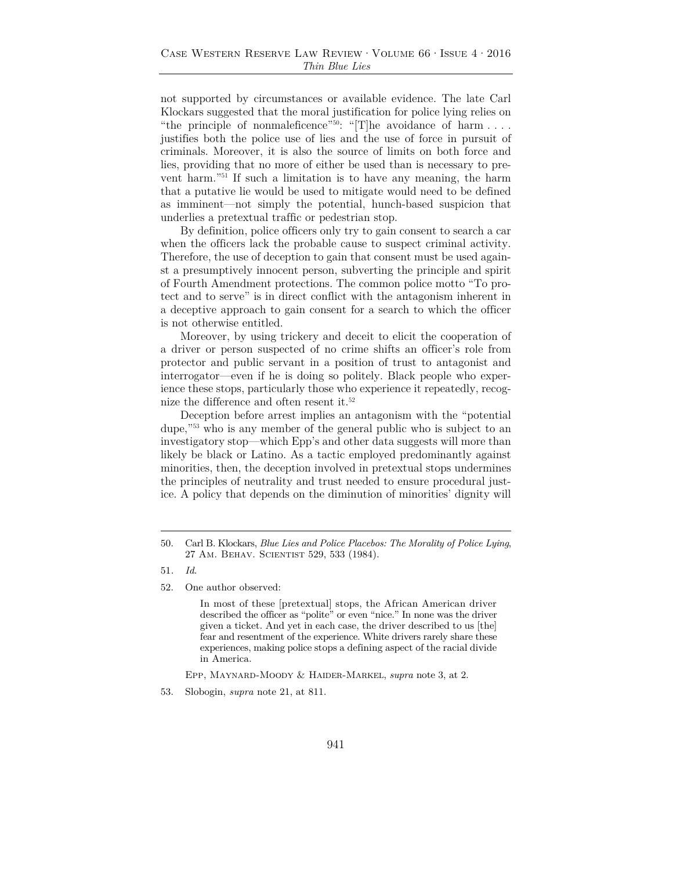not supported by circumstances or available evidence. The late Carl Klockars suggested that the moral justification for police lying relies on "the principle of nonmaleficence"<sup>50</sup>: "[T]he avoidance of harm  $\dots$ . justifies both the police use of lies and the use of force in pursuit of criminals. Moreover, it is also the source of limits on both force and lies, providing that no more of either be used than is necessary to prevent harm."51 If such a limitation is to have any meaning, the harm that a putative lie would be used to mitigate would need to be defined as imminent—not simply the potential, hunch-based suspicion that underlies a pretextual traffic or pedestrian stop.

By definition, police officers only try to gain consent to search a car when the officers lack the probable cause to suspect criminal activity. Therefore, the use of deception to gain that consent must be used against a presumptively innocent person, subverting the principle and spirit of Fourth Amendment protections. The common police motto "To protect and to serve" is in direct conflict with the antagonism inherent in a deceptive approach to gain consent for a search to which the officer is not otherwise entitled.

Moreover, by using trickery and deceit to elicit the cooperation of a driver or person suspected of no crime shifts an officer's role from protector and public servant in a position of trust to antagonist and interrogator—even if he is doing so politely. Black people who experience these stops, particularly those who experience it repeatedly, recognize the difference and often resent it.<sup>52</sup>

Deception before arrest implies an antagonism with the "potential dupe,"53 who is any member of the general public who is subject to an investigatory stop—which Epp's and other data suggests will more than likely be black or Latino. As a tactic employed predominantly against minorities, then, the deception involved in pretextual stops undermines the principles of neutrality and trust needed to ensure procedural justice. A policy that depends on the diminution of minorities' dignity will

52. One author observed:

In most of these [pretextual] stops, the African American driver described the officer as "polite" or even "nice." In none was the driver given a ticket. And yet in each case, the driver described to us [the] fear and resentment of the experience. White drivers rarely share these experiences, making police stops a defining aspect of the racial divide in America.

Epp, Maynard-Moody & Haider-Markel, *supra* note 3, at 2.

<sup>50.</sup> Carl B. Klockars, *Blue Lies and Police Placebos: The Morality of Police Lying*, 27 Am. Behav. Scientist 529, 533 (1984).

<sup>51</sup>*. Id*.

<sup>53.</sup> Slobogin, *supra* note 21, at 811.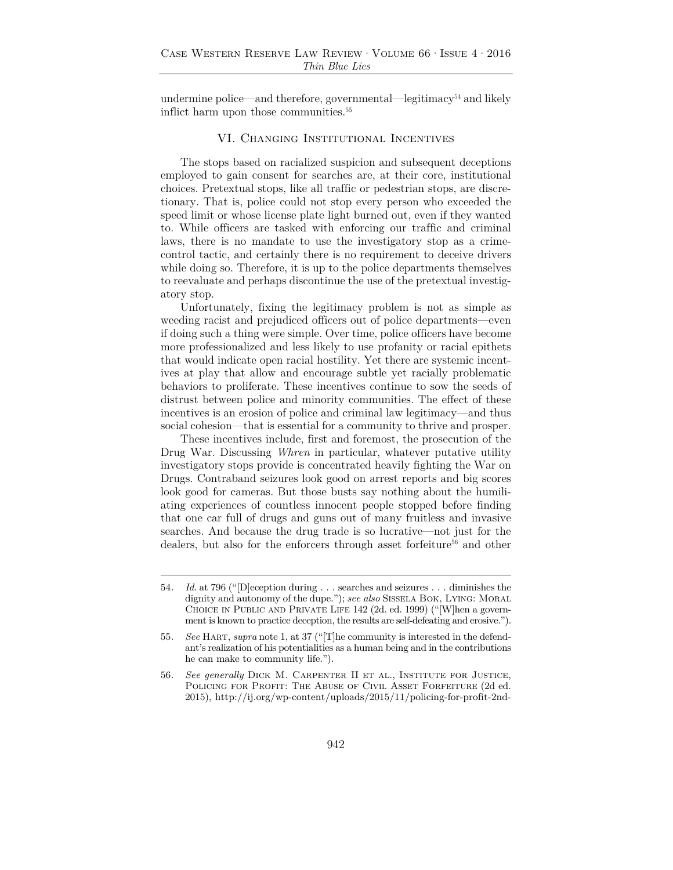undermine police—and therefore, governmental—legitimacy<sup>54</sup> and likely inflict harm upon those communities.<sup>55</sup>

#### VI. Changing Institutional Incentives

The stops based on racialized suspicion and subsequent deceptions employed to gain consent for searches are, at their core, institutional choices. Pretextual stops, like all traffic or pedestrian stops, are discretionary. That is, police could not stop every person who exceeded the speed limit or whose license plate light burned out, even if they wanted to. While officers are tasked with enforcing our traffic and criminal laws, there is no mandate to use the investigatory stop as a crimecontrol tactic, and certainly there is no requirement to deceive drivers while doing so. Therefore, it is up to the police departments themselves to reevaluate and perhaps discontinue the use of the pretextual investigatory stop.

Unfortunately, fixing the legitimacy problem is not as simple as weeding racist and prejudiced officers out of police departments—even if doing such a thing were simple. Over time, police officers have become more professionalized and less likely to use profanity or racial epithets that would indicate open racial hostility. Yet there are systemic incentives at play that allow and encourage subtle yet racially problematic behaviors to proliferate. These incentives continue to sow the seeds of distrust between police and minority communities. The effect of these incentives is an erosion of police and criminal law legitimacy—and thus social cohesion—that is essential for a community to thrive and prosper.

These incentives include, first and foremost, the prosecution of the Drug War. Discussing *Whren* in particular, whatever putative utility investigatory stops provide is concentrated heavily fighting the War on Drugs. Contraband seizures look good on arrest reports and big scores look good for cameras. But those busts say nothing about the humiliating experiences of countless innocent people stopped before finding that one car full of drugs and guns out of many fruitless and invasive searches. And because the drug trade is so lucrative—not just for the dealers, but also for the enforcers through asset forfeiture<sup>56</sup> and other

<sup>54</sup>*. Id*. at 796 ("[D]eception during . . . searches and seizures . . . diminishes the dignity and autonomy of the dupe."); *see also* Sissela Bok, Lying: Moral Choice in Public and Private Life 142 (2d. ed. 1999) ("[W]hen a government is known to practice deception, the results are self-defeating and erosive.").

<sup>55</sup>*. See* Hart, *supra* note 1, at 37 ("[T]he community is interested in the defendant's realization of his potentialities as a human being and in the contributions he can make to community life.").

<sup>56</sup>*. See generally* Dick M. Carpenter II et al., Institute for Justice, Policing for Profit: The Abuse of Civil Asset Forfeiture (2d ed. 2015), http://ij.org/wp-content/uploads/2015/11/policing-for-profit-2nd-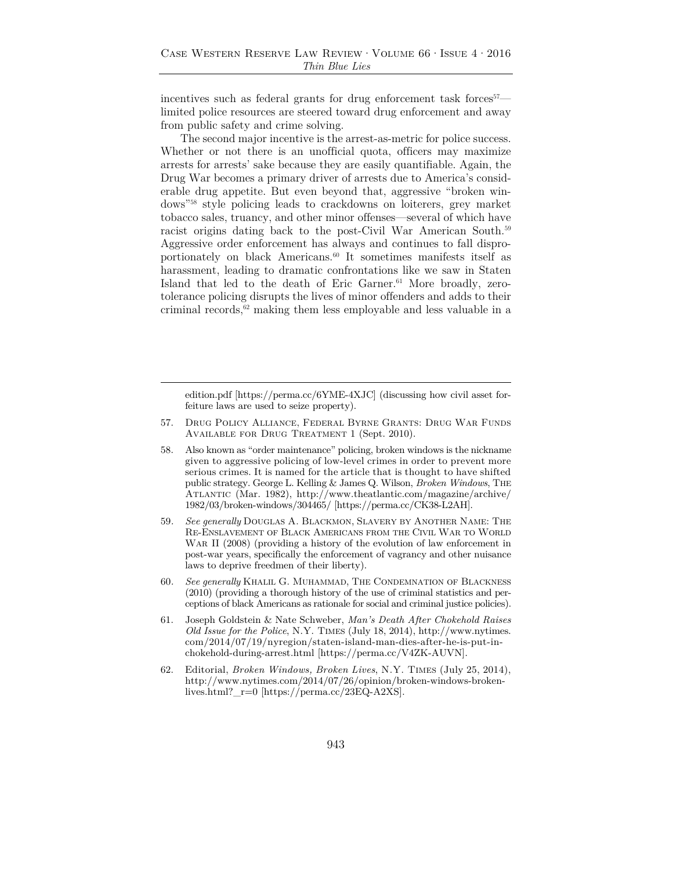incentives such as federal grants for drug enforcement task forces<sup> $57$ </sup> limited police resources are steered toward drug enforcement and away from public safety and crime solving.

The second major incentive is the arrest-as-metric for police success. Whether or not there is an unofficial quota, officers may maximize arrests for arrests' sake because they are easily quantifiable. Again, the Drug War becomes a primary driver of arrests due to America's considerable drug appetite. But even beyond that, aggressive "broken windows"58 style policing leads to crackdowns on loiterers, grey market tobacco sales, truancy, and other minor offenses—several of which have racist origins dating back to the post-Civil War American South.<sup>59</sup> Aggressive order enforcement has always and continues to fall disproportionately on black Americans.60 It sometimes manifests itself as harassment, leading to dramatic confrontations like we saw in Staten Island that led to the death of Eric Garner.<sup>61</sup> More broadly, zerotolerance policing disrupts the lives of minor offenders and adds to their criminal records, $62$  making them less employable and less valuable in a

edition.pdf [https://perma.cc/6YME-4XJC] (discussing how civil asset forfeiture laws are used to seize property).

- 57. Drug Policy Alliance, Federal Byrne Grants: Drug War Funds Available for Drug Treatment 1 (Sept. 2010).
- 58. Also known as "order maintenance" policing, broken windows is the nickname given to aggressive policing of low-level crimes in order to prevent more serious crimes. It is named for the article that is thought to have shifted public strategy. George L. Kelling & James Q. Wilson, *Broken Windows*, The Atlantic (Mar. 1982), http://www.theatlantic.com/magazine/archive/ 1982/03/broken-windows/304465/ [https://perma.cc/CK38-L2AH].
- 59*. See generally* Douglas A. Blackmon, Slavery by Another Name: The Re-Enslavement of Black Americans from the Civil War to World War II (2008) (providing a history of the evolution of law enforcement in post-war years, specifically the enforcement of vagrancy and other nuisance laws to deprive freedmen of their liberty).
- 60*. See generally* Khalil G. Muhammad, The Condemnation of Blackness (2010) (providing a thorough history of the use of criminal statistics and perceptions of black Americans as rationale for social and criminal justice policies).
- 61. Joseph Goldstein & Nate Schweber, *Man's Death After Chokehold Raises Old Issue for the Police*, N.Y. Times (July 18, 2014), http://www.nytimes. com/2014/07/19/nyregion/staten-island-man-dies-after-he-is-put-inchokehold-during-arrest.html [https://perma.cc/V4ZK-AUVN].
- 62. Editorial, *Broken Windows, Broken Lives*, N.Y. Times (July 25, 2014), http://www.nytimes.com/2014/07/26/opinion/broken-windows-brokenlives.html?\_r=0 [https://perma.cc/23EQ-A2XS].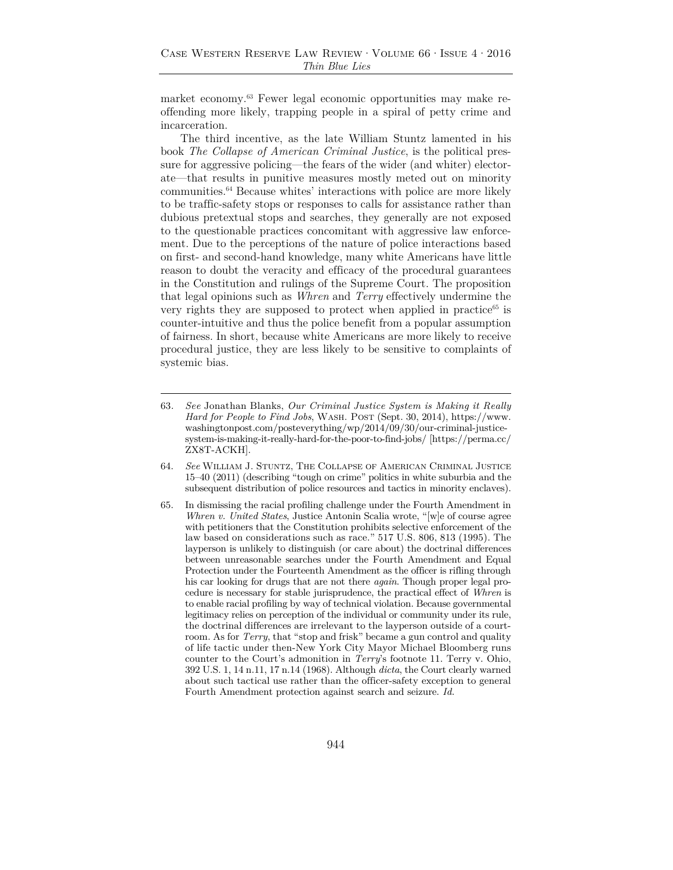market economy.63 Fewer legal economic opportunities may make reoffending more likely, trapping people in a spiral of petty crime and incarceration.

The third incentive, as the late William Stuntz lamented in his book *The Collapse of American Criminal Justice*, is the political pressure for aggressive policing—the fears of the wider (and whiter) electorate—that results in punitive measures mostly meted out on minority communities.64 Because whites' interactions with police are more likely to be traffic-safety stops or responses to calls for assistance rather than dubious pretextual stops and searches, they generally are not exposed to the questionable practices concomitant with aggressive law enforcement. Due to the perceptions of the nature of police interactions based on first- and second-hand knowledge, many white Americans have little reason to doubt the veracity and efficacy of the procedural guarantees in the Constitution and rulings of the Supreme Court. The proposition that legal opinions such as *Whren* and *Terry* effectively undermine the very rights they are supposed to protect when applied in practice<sup>65</sup> is counter-intuitive and thus the police benefit from a popular assumption of fairness. In short, because white Americans are more likely to receive procedural justice, they are less likely to be sensitive to complaints of systemic bias.

- 63*. See* Jonathan Blanks, *Our Criminal Justice System is Making it Really*  Hard for People to Find Jobs, WASH. POST (Sept. 30, 2014), https://www. washingtonpost.com/posteverything/wp/2014/09/30/our-criminal-justicesystem-is-making-it-really-hard-for-the-poor-to-find-jobs/ [https://perma.cc/ ZX8T-ACKH].
- 64. *See* William J. Stuntz, The Collapse of American Criminal Justice 15–40 (2011) (describing "tough on crime" politics in white suburbia and the subsequent distribution of police resources and tactics in minority enclaves).
- 65. In dismissing the racial profiling challenge under the Fourth Amendment in *Whren v. United States*, Justice Antonin Scalia wrote, "[w]e of course agree with petitioners that the Constitution prohibits selective enforcement of the law based on considerations such as race." 517 U.S. 806, 813 (1995). The layperson is unlikely to distinguish (or care about) the doctrinal differences between unreasonable searches under the Fourth Amendment and Equal Protection under the Fourteenth Amendment as the officer is rifling through his car looking for drugs that are not there *again*. Though proper legal procedure is necessary for stable jurisprudence, the practical effect of *Whren* is to enable racial profiling by way of technical violation. Because governmental legitimacy relies on perception of the individual or community under its rule, the doctrinal differences are irrelevant to the layperson outside of a courtroom. As for *Terry*, that "stop and frisk" became a gun control and quality of life tactic under then-New York City Mayor Michael Bloomberg runs counter to the Court's admonition in *Terry*'s footnote 11. Terry v. Ohio, 392 U.S. 1, 14 n.11, 17 n.14 (1968). Although *dicta*, the Court clearly warned about such tactical use rather than the officer-safety exception to general Fourth Amendment protection against search and seizure. *Id.*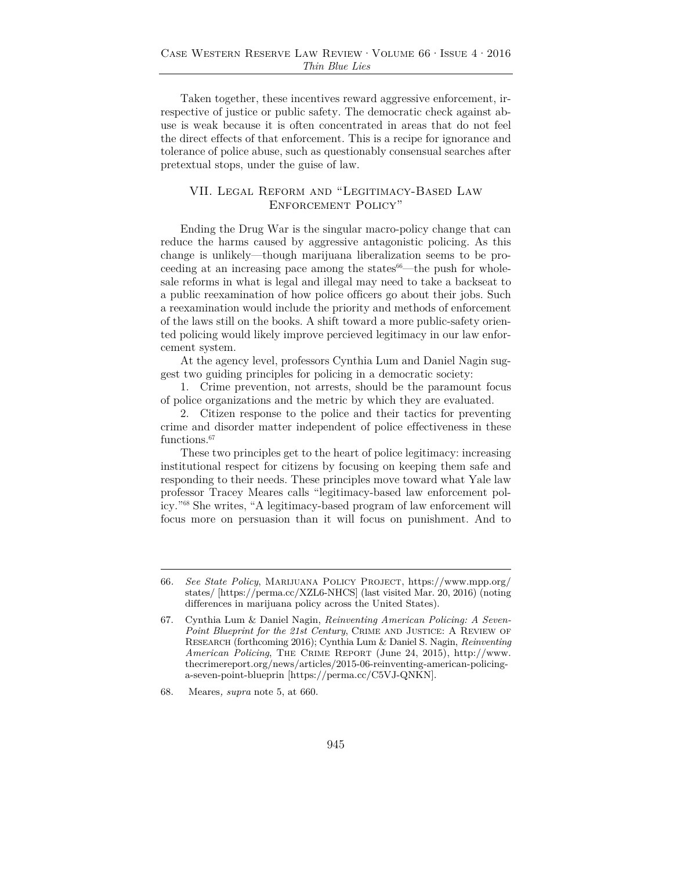Taken together, these incentives reward aggressive enforcement, irrespective of justice or public safety. The democratic check against abuse is weak because it is often concentrated in areas that do not feel the direct effects of that enforcement. This is a recipe for ignorance and tolerance of police abuse, such as questionably consensual searches after pretextual stops, under the guise of law.

### VII. Legal Reform and "Legitimacy-Based Law Enforcement Policy"

Ending the Drug War is the singular macro-policy change that can reduce the harms caused by aggressive antagonistic policing. As this change is unlikely—though marijuana liberalization seems to be proceeding at an increasing pace among the states $66$ —the push for wholesale reforms in what is legal and illegal may need to take a backseat to a public reexamination of how police officers go about their jobs. Such a reexamination would include the priority and methods of enforcement of the laws still on the books. A shift toward a more public-safety oriented policing would likely improve percieved legitimacy in our law enforcement system.

At the agency level, professors Cynthia Lum and Daniel Nagin suggest two guiding principles for policing in a democratic society:

1. Crime prevention, not arrests, should be the paramount focus of police organizations and the metric by which they are evaluated.

2. Citizen response to the police and their tactics for preventing crime and disorder matter independent of police effectiveness in these functions.<sup>67</sup>

These two principles get to the heart of police legitimacy: increasing institutional respect for citizens by focusing on keeping them safe and responding to their needs. These principles move toward what Yale law professor Tracey Meares calls "legitimacy-based law enforcement policy."68 She writes, "A legitimacy-based program of law enforcement will focus more on persuasion than it will focus on punishment. And to

<sup>66</sup>*. See State Policy*, Marijuana Policy Project, https://www.mpp.org/ states/ [https://perma.cc/XZL6-NHCS] (last visited Mar. 20, 2016) (noting differences in marijuana policy across the United States).

<sup>67.</sup> Cynthia Lum & Daniel Nagin, *Reinventing American Policing: A Seven-Point Blueprint for the 21st Century*, CRIME AND JUSTICE: A REVIEW OF Research (forthcoming 2016); Cynthia Lum & Daniel S. Nagin, *Reinventing American Policing*, The Crime Report (June 24, 2015), http://www. thecrimereport.org/news/articles/2015-06-reinventing-american-policinga-seven-point-blueprin [https://perma.cc/C5VJ-QNKN].

<sup>68.</sup> Meares*, supra* note 5, at 660.